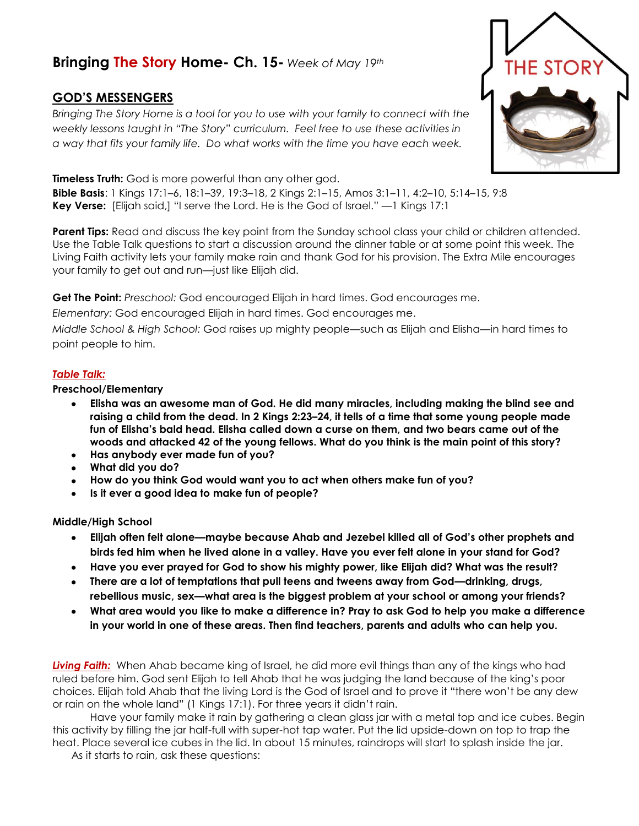## **Bringing The Story Home- Ch. 15-** *Week of May 19th*

## **GOD'S MESSENGERS**

*Bringing The Story Home is a tool for you to use with your family to connect with the weekly lessons taught in "The Story" curriculum. Feel free to use these activities in a way that fits your family life. Do what works with the time you have each week.* 

**Timeless Truth:** God is more powerful than any other god. **Bible Basis**: 1 Kings 17:1–6, 18:1–39, 19:3–18, 2 Kings 2:1–15, Amos 3:1–11, 4:2–10, 5:14–15, 9:8 **Key Verse:** [Elijah said,] "I serve the Lord. He is the God of Israel." —1 Kings 17:1

**Parent Tips:** Read and discuss the key point from the Sunday school class your child or children attended. Use the Table Talk questions to start a discussion around the dinner table or at some point this week. The Living Faith activity lets your family make rain and thank God for his provision. The Extra Mile encourages your family to get out and run—just like Elijah did.

**Get The Point:** *Preschool:* God encouraged Elijah in hard times. God encourages me.

*Elementary:* God encouraged Elijah in hard times. God encourages me.

*Middle School & High School:* God raises up mighty people—such as Elijah and Elisha—in hard times to point people to him.

## *Table Talk:*

## **Preschool/Elementary**

- **Elisha was an awesome man of God. He did many miracles, including making the blind see and**   $\bullet$ **raising a child from the dead. In 2 Kings 2:23–24, it tells of a time that some young people made fun of Elisha's bald head. Elisha called down a curse on them, and two bears came out of the woods and attacked 42 of the young fellows. What do you think is the main point of this story?**
- **Has anybody ever made fun of you?**  $\bullet$
- **What did you do?**
- **How do you think God would want you to act when others make fun of you?**
- **Is it ever a good idea to make fun of people?**

**Middle/High School**

- **Elijah often felt alone—maybe because Ahab and Jezebel killed all of God's other prophets and**   $\bullet$ **birds fed him when he lived alone in a valley. Have you ever felt alone in your stand for God?**
- **Have you ever prayed for God to show his mighty power, like Elijah did? What was the result?**
- **There are a lot of temptations that pull teens and tweens away from God—drinking, drugs, rebellious music, sex—what area is the biggest problem at your school or among your friends?**
- **What area would you like to make a difference in? Pray to ask God to help you make a difference in your world in one of these areas. Then find teachers, parents and adults who can help you.**

*Living Faith:* When Ahab became king of Israel, he did more evil things than any of the kings who had ruled before him. God sent Elijah to tell Ahab that he was judging the land because of the king's poor choices. Elijah told Ahab that the living Lord is the God of Israel and to prove it "there won't be any dew or rain on the whole land" (1 Kings 17:1). For three years it didn't rain.

Have your family make it rain by gathering a clean glass jar with a metal top and ice cubes. Begin this activity by filling the jar half-full with super-hot tap water. Put the lid upside-down on top to trap the heat. Place several ice cubes in the lid. In about 15 minutes, raindrops will start to splash inside the jar.

As it starts to rain, ask these questions: